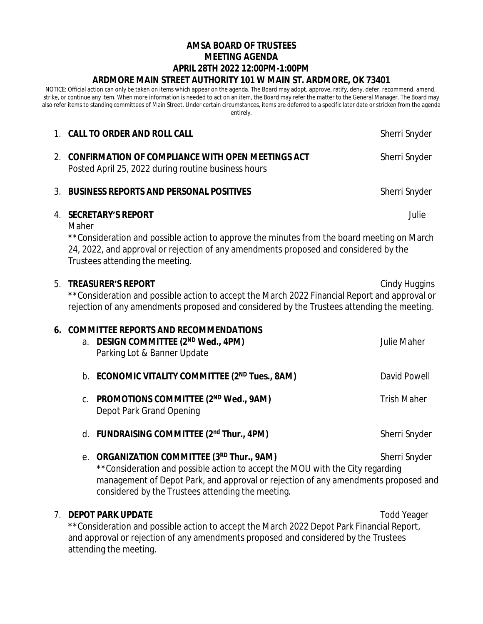# **AMSA BOARD OF TRUSTEES MEETING AGENDA APRIL 28TH 2022 12:00PM-1:00PM ARDMORE MAIN STREET AUTHORITY 101 W MAIN ST. ARDMORE, OK 73401**

NOTICE: Official action can only be taken on items which appear on the agenda. The Board may adopt, approve, ratify, deny, defer, recommend, amend, strike, or continue any item. When more information is needed to act on an item, the Board may refer the matter to the General Manager. The Board may also refer items to standing committees of Main Street. Under certain circumstances, items are deferred to a specific later date or stricken from the agenda entirely.

|    | 1. CALL TO ORDER AND ROLL CALL                                                                                                                                                                                                                                   |                                                                                                                                                                                                                                                                     | Sherri Snyder      |
|----|------------------------------------------------------------------------------------------------------------------------------------------------------------------------------------------------------------------------------------------------------------------|---------------------------------------------------------------------------------------------------------------------------------------------------------------------------------------------------------------------------------------------------------------------|--------------------|
|    | 2. CONFIRMATION OF COMPLIANCE WITH OPEN MEETINGS ACT<br>Posted April 25, 2022 during routine business hours                                                                                                                                                      |                                                                                                                                                                                                                                                                     | Sherri Snyder      |
| 3. | <b>BUSINESS REPORTS AND PERSONAL POSITIVES</b>                                                                                                                                                                                                                   |                                                                                                                                                                                                                                                                     | Sherri Snyder      |
|    | Julie<br>4. SECRETARY'S REPORT<br>Maher<br>**Consideration and possible action to approve the minutes from the board meeting on March<br>24, 2022, and approval or rejection of any amendments proposed and considered by the<br>Trustees attending the meeting. |                                                                                                                                                                                                                                                                     |                    |
| 5. | <b>TREASURER'S REPORT</b><br>Cindy Huggins<br>**Consideration and possible action to accept the March 2022 Financial Report and approval or<br>rejection of any amendments proposed and considered by the Trustees attending the meeting.                        |                                                                                                                                                                                                                                                                     |                    |
|    |                                                                                                                                                                                                                                                                  | 6. COMMITTEE REPORTS AND RECOMMENDATIONS<br>a. DESIGN COMMITTEE (2ND Wed., 4PM)<br>Parking Lot & Banner Update                                                                                                                                                      | <b>Julie Maher</b> |
|    |                                                                                                                                                                                                                                                                  | b. ECONOMIC VITALITY COMMITTEE (2ND Tues., 8AM)                                                                                                                                                                                                                     | David Powell       |
|    | C.                                                                                                                                                                                                                                                               | PROMOTIONS COMMITTEE (2 <sup>ND</sup> Wed., 9AM)<br>Depot Park Grand Opening                                                                                                                                                                                        | <b>Trish Maher</b> |
|    |                                                                                                                                                                                                                                                                  | d. FUNDRAISING COMMITTEE (2nd Thur., 4PM)                                                                                                                                                                                                                           | Sherri Snyder      |
|    | е.                                                                                                                                                                                                                                                               | ORGANIZATION COMMITTEE (3RD Thur., 9AM)<br>**Consideration and possible action to accept the MOU with the City regarding<br>management of Depot Park, and approval or rejection of any amendments proposed and<br>considered by the Trustees attending the meeting. | Sherri Snyder      |
| 7. |                                                                                                                                                                                                                                                                  | <b>DEPOT PARK UPDATE</b>                                                                                                                                                                                                                                            | <b>Todd Yeager</b> |

\*\*Consideration and possible action to accept the March 2022 Depot Park Financial Report, and approval or rejection of any amendments proposed and considered by the Trustees attending the meeting.